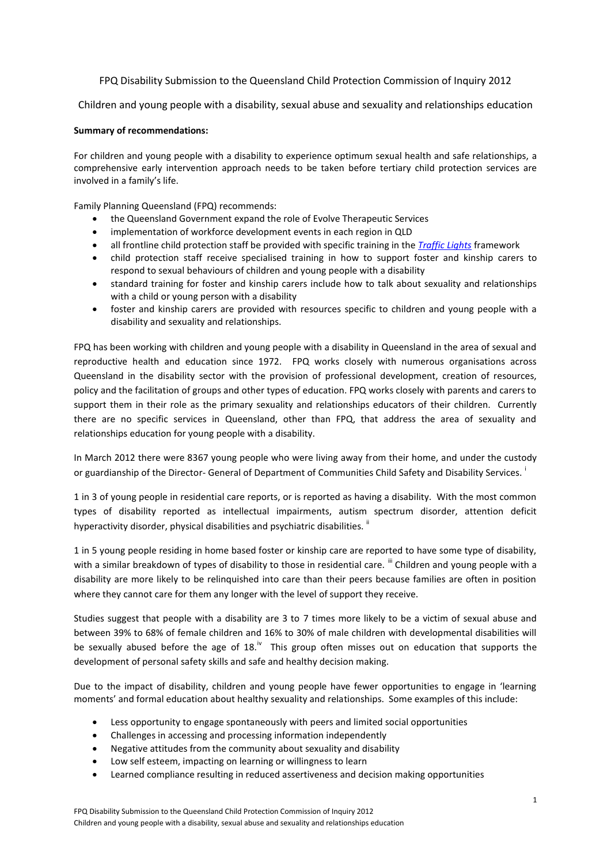# FPQ Disability Submission to the Queensland Child Protection Commission of Inquiry 2012

Children and young people with a disability, sexual abuse and sexuality and relationships education

## **Summary of recommendations:**

For children and young people with a disability to experience optimum sexual health and safe relationships, a comprehensive early intervention approach needs to be taken before tertiary child protection services are involved in a family's life.

Family Planning Queensland (FPQ) recommends:

- the Queensland Government expand the role of Evolve Therapeutic Services
- implementation of workforce development events in each region in QLD
- all frontline child protection staff be provided with specific training in the *[Traffic Lights](http://www.fpq.com.au/publications/fsBrochures/Br_Sexual_Behaviours.php)* framework
- child protection staff receive specialised training in how to support foster and kinship carers to respond to sexual behaviours of children and young people with a disability
- standard training for foster and kinship carers include how to talk about sexuality and relationships with a child or young person with a disability
- foster and kinship carers are provided with resources specific to children and young people with a disability and sexuality and relationships.

FPQ has been working with children and young people with a disability in Queensland in the area of sexual and reproductive health and education since 1972. FPQ works closely with numerous organisations across Queensland in the disability sector with the provision of professional development, creation of resources, policy and the facilitation of groups and other types of education. FPQ works closely with parents and carers to support them in their role as the primary sexuality and relationships educators of their children. Currently there are no specific services in Queensland, other than FPQ, that address the area of sexuality and relationships education for young people with a disability.

In March 2012 there were 8367 young people who were living away from their home, and under the custody or guardianship of the Director- General of Department of Communities Child Safety and Disability Services. <sup>i</sup>

1 in 3 of young people in residential care reports, or is reported as having a disability. With the most common types of disability reported as intellectual impairments, autism spectrum disorder, attention deficit hyperactivity disorder, physical disabilities and psychiatric disabilities. <sup>ii</sup>

1 in 5 young people residing in home based foster or kinship care are reported to have some type of disability, with a similar breakdown of types of disability to those in residential care. "I Children and young people with a disability are more likely to be relinquished into care than their peers because families are often in position where they cannot care for them any longer with the level of support they receive.

Studies suggest that people with a disability are 3 to 7 times more likely to be a victim of sexual abuse and between 39% to 68% of female children and 16% to 30% of male children with developmental disabilities will be sexually abused before the age of  $18.^{iv}$  This group often misses out on education that supports the development of personal safety skills and safe and healthy decision making.

Due to the impact of disability, children and young people have fewer opportunities to engage in 'learning moments' and formal education about healthy sexuality and relationships. Some examples of this include:

- Less opportunity to engage spontaneously with peers and limited social opportunities
- Challenges in accessing and processing information independently
- Negative attitudes from the community about sexuality and disability
- Low self esteem, impacting on learning or willingness to learn
- Learned compliance resulting in reduced assertiveness and decision making opportunities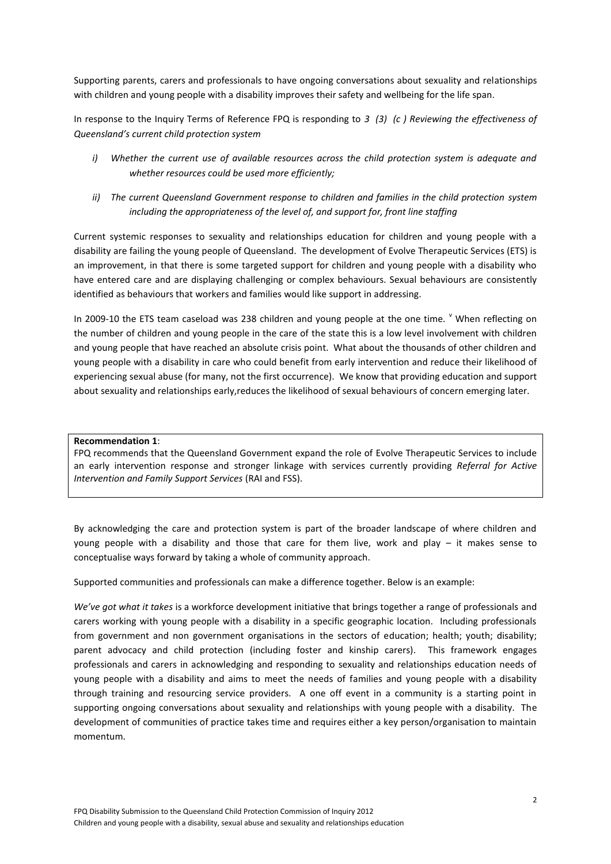Supporting parents, carers and professionals to have ongoing conversations about sexuality and relationships with children and young people with a disability improves their safety and wellbeing for the life span.

In response to the Inquiry Terms of Reference FPQ is responding to *3 (3) (c ) Reviewing the effectiveness of Queensland's current child protection system* 

- *i) Whether the current use of available resources across the child protection system is adequate and whether resources could be used more efficiently;*
- *ii) The current Queensland Government response to children and families in the child protection system including the appropriateness of the level of, and support for, front line staffing*

Current systemic responses to sexuality and relationships education for children and young people with a disability are failing the young people of Queensland. The development of Evolve Therapeutic Services (ETS) is an improvement, in that there is some targeted support for children and young people with a disability who have entered care and are displaying challenging or complex behaviours. Sexual behaviours are consistently identified as behaviours that workers and families would like support in addressing.

In 2009-10 the ETS team caseload was 238 children and young people at the one time.  $\degree$  When reflecting on the number of children and young people in the care of the state this is a low level involvement with children and young people that have reached an absolute crisis point. What about the thousands of other children and young people with a disability in care who could benefit from early intervention and reduce their likelihood of experiencing sexual abuse (for many, not the first occurrence). We know that providing education and support about sexuality and relationships early,reduces the likelihood of sexual behaviours of concern emerging later.

### **Recommendation 1**:

FPQ recommends that the Queensland Government expand the role of Evolve Therapeutic Services to include an early intervention response and stronger linkage with services currently providing *Referral for Active Intervention and Family Support Services* (RAI and FSS).

By acknowledging the care and protection system is part of the broader landscape of where children and young people with a disability and those that care for them live, work and play – it makes sense to conceptualise ways forward by taking a whole of community approach.

Supported communities and professionals can make a difference together. Below is an example:

*We've got what it takes* is a workforce development initiative that brings together a range of professionals and carers working with young people with a disability in a specific geographic location. Including professionals from government and non government organisations in the sectors of education; health; youth; disability; parent advocacy and child protection (including foster and kinship carers). This framework engages professionals and carers in acknowledging and responding to sexuality and relationships education needs of young people with a disability and aims to meet the needs of families and young people with a disability through training and resourcing service providers. A one off event in a community is a starting point in supporting ongoing conversations about sexuality and relationships with young people with a disability. The development of communities of practice takes time and requires either a key person/organisation to maintain momentum.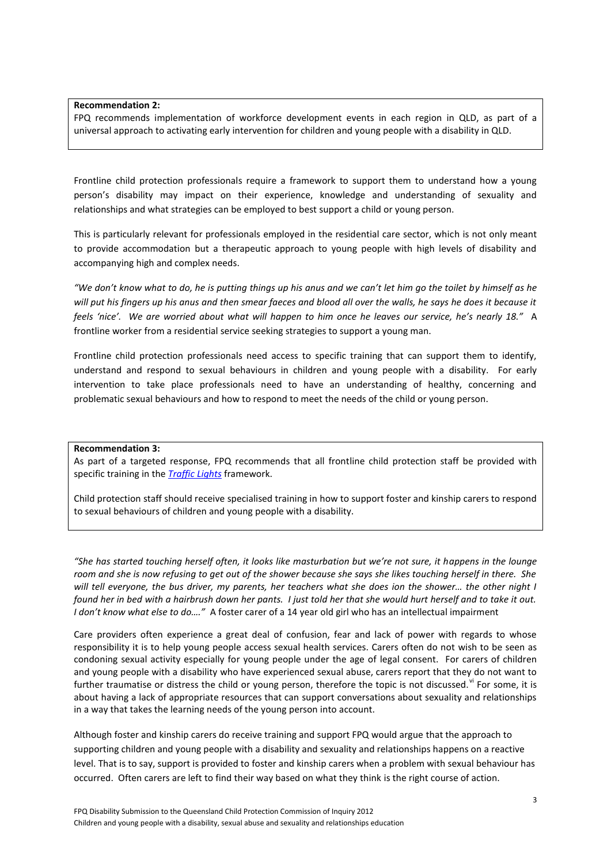### **Recommendation 2:**

FPQ recommends implementation of workforce development events in each region in QLD, as part of a universal approach to activating early intervention for children and young people with a disability in QLD.

Frontline child protection professionals require a framework to support them to understand how a young person's disability may impact on their experience, knowledge and understanding of sexuality and relationships and what strategies can be employed to best support a child or young person.

This is particularly relevant for professionals employed in the residential care sector, which is not only meant to provide accommodation but a therapeutic approach to young people with high levels of disability and accompanying high and complex needs.

*"We don't know what to do, he is putting things up his anus and we can't let him go the toilet by himself as he will put his fingers up his anus and then smear faeces and blood all over the walls, he says he does it because it feels 'nice'. We are worried about what will happen to him once he leaves our service, he's nearly 18."* A frontline worker from a residential service seeking strategies to support a young man.

Frontline child protection professionals need access to specific training that can support them to identify, understand and respond to sexual behaviours in children and young people with a disability. For early intervention to take place professionals need to have an understanding of healthy, concerning and problematic sexual behaviours and how to respond to meet the needs of the child or young person.

#### **Recommendation 3:**

As part of a targeted response, FPQ recommends that all frontline child protection staff be provided with specific training in the *[Traffic Lights](http://www.fpq.com.au/publications/fsBrochures/Br_Sexual_Behaviours.php)* framework.

Child protection staff should receive specialised training in how to support foster and kinship carers to respond to sexual behaviours of children and young people with a disability.

*"She has started touching herself often, it looks like masturbation but we're not sure, it happens in the lounge room and she is now refusing to get out of the shower because she says she likes touching herself in there. She will tell everyone, the bus driver, my parents, her teachers what she does ion the shower… the other night I found her in bed with a hairbrush down her pants. I just told her that she would hurt herself and to take it out. I don't know what else to do…."* A foster carer of a 14 year old girl who has an intellectual impairment

Care providers often experience a great deal of confusion, fear and lack of power with regards to whose responsibility it is to help young people access sexual health services. Carers often do not wish to be seen as condoning sexual activity especially for young people under the age of legal consent. For carers of children and young people with a disability who have experienced sexual abuse, carers report that they do not want to further traumatise or distress the child or young person, therefore the topic is not discussed.<sup>vi</sup> For some, it is about having a lack of appropriate resources that can support conversations about sexuality and relationships in a way that takes the learning needs of the young person into account.

Although foster and kinship carers do receive training and support FPQ would argue that the approach to supporting children and young people with a disability and sexuality and relationships happens on a reactive level. That is to say, support is provided to foster and kinship carers when a problem with sexual behaviour has occurred. Often carers are left to find their way based on what they think is the right course of action.